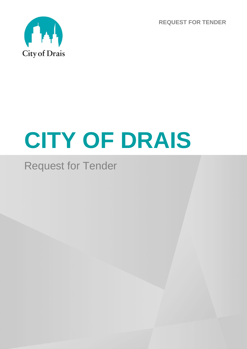**REQUEST FOR TENDER**



# **CITY OF DRAIS**

# Request for Tender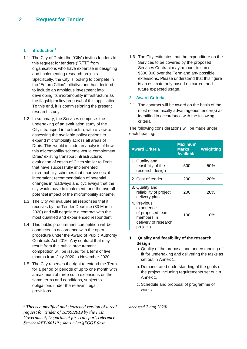#### **1 Introduction<sup>1</sup>**

- 1.1 The City of Drais (the "City") invites tenders to this request for tenders ("RFT") from organisations who have expertise in designing and implementing research projects. Specifically, the City is looking to compete in the "Future Cities" initiative and has decided to include an ambitious investment into developing its micromobility infrastructure as the flagship policy proposal of this application. To this end, it is commissioning the present research study.
- 1.2 In summary, the Services comprise: the undertaking of an evaluation study of the City's transport infrastructure with a view to assessing the available policy options to expand micromobility across all areas of Drais. This would include an analysis of how this micromobility scheme would complement Drais' existing transport infrastructure; evaluation of cases of Cities similar to Drais that have successfully implemented micromobility schemes that improve social integration; recommendation of potential changes in roadways and cycleways that the city would have to implement; and the overall potential impact of the micromobility scheme.
- 1.3 The City will evaluate all responses that it receives by the Tender Deadline (30 March 2020) and will negotiate a contract with the most qualified and experienced respondent.
- 1.4 This public procurement competition will be conducted in accordance with the open procedure under the Award of Public Authority Contracts Act 2016. Any contract that may result from this public procurement competition will be issued for a term of five months from July 2020 to November 2020.
- 1.5 The City reserves the right to extend the Term for a period or periods of up to one month with a maximum of three such extensions on the same terms and conditions, subject to obligations under the relevant legal provisions.

-

1.6 The City estimates that the expenditure on the Services to be covered by the proposed Services Contract may amount to some \$300,000 over the Term and any possible extensions. Please understand that this figure is an estimate only based on current and future expected usage.

#### **2 Award Criteria**

2.1 The contract will be award on the basis of the most economically advantageous tender(s) as identified in accordance with the following criteria

The following considerations will be made under each heading:

| <b>Award Criteria</b>                                                                           | Maximum<br><b>Marks</b><br><b>Available</b> | <b>Weighting</b> |
|-------------------------------------------------------------------------------------------------|---------------------------------------------|------------------|
| 1. Quality and<br>feasibility of the<br>research design                                         | 500                                         | 50%              |
| 2. Cost of tender                                                                               | 200                                         | <b>20%</b>       |
| 3. Quality and<br>reliability of project<br>delivery plan                                       | 200                                         | <b>20%</b>       |
| 4. Previous<br>experience<br>of proposed team<br>members in<br>delivery of research<br>projects | 100                                         | 10%              |

#### **1. Quality and feasibility of the research design**

- a. Quality of the proposal and understanding of fit for undertaking and delivering the tasks as set out in Annex 1.
- b. Demonstrated understanding of the goals of the project including requirements set out in Annex 1.
- c. Schedule and proposal of programme of works.

*accessed 7 Aug 2020)*

*<sup>1</sup> This is a modified and shortened version of a real request for tender of 18/09/2019 by the Irish Government, Department for Transport, reference ServicesRFT100519 ; shorturl.at/gEGQT (last*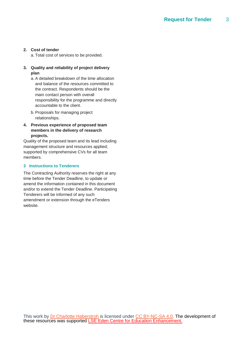## **2. Cost of tender**

a. Total cost of services to be provided.

## **3. Quality and reliability of project delivery plan**

- a. A detailed breakdown of the time allocation and balance of the resources committed to the contract. Respondents should be the main contact person with overall responsibility for the programme and directly accountable to the client.
- b. Proposals for managing project relationships.

## **4. Previous experience of proposed team members in the delivery of research projects.**

Quality of the proposed team and its lead including management structure and resources applied; supported by comprehensive CVs for all team members.

# **3 Instructions to Tenderers**

The Contracting Authority reserves the right at any time before the Tender Deadline, to update or amend the information contained in this document and/or to extend the Tender Deadline. Participating Tenderers will be informed of any such amendment or extension through the eTenders website.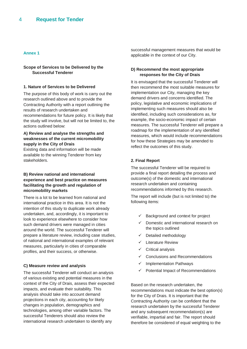#### **Annex 1**

#### **Scope of Services to be Delivered by the Successful Tenderer**

#### **1. Nature of Services to be Delivered**

The purpose of this body of work is carry out the research outlined above and to provide the Contracting Authority with a report outlining the results of research undertaken and recommendations for future policy. It is likely that the study will involve, but will not be limited to, the actions outlined below:

#### **A) Review and analyse the strengths and weaknesses of the current micromobility supply in the City of Drais**

Existing data and information will be made available to the winning Tenderer from key stakeholders.

#### **B) Review national and international experience and best practice on measures facilitating the growth and regulation of micromobility markets**

There is a lot to be learned from national and international practice in this area. It is not the intention of this study to duplicate work already undertaken, and, accordingly, it is important to look to experience elsewhere to consider how such demand drivers were managed in cities around the world. The successful Tenderer will prepare a literature review, including case studies, of national and international examples of relevant measures, particularly in cities of comparable profiles, and their success, or otherwise.

#### **C) Measure review and analysis**

The successful Tenderer will conduct an analysis of various existing and potential measures in the context of the City of Drais, assess their expected impacts, and evaluate their suitability. This analysis should take into account demand projections in each city, accounting for likely changes in population, demographics and technologies, among other variable factors. The successful Tenderers should also review the international research undertaken to identify any

successful management measures that would be applicable in the context of our City.

#### **D) Recommend the most appropriate responses for the City of Drais**

It is envisaged that the successful Tenderer will then recommend the most suitable measures for implementation our City, managing the key demand drivers and concerns identified. The policy, legislative and economic implications of implementing such measures should also be identified, including such considerations as, for example, the socio-economic impact of certain measures. The successful Tenderer will prepare a roadmap for the implementation of any identified measures, which would include recommendations for how these Strategies may be amended to reflect the outcomes of this study.

#### **2. Final Report**

The successful Tenderer will be required to provide a final report detailing the process and outcome(s) of the domestic and international research undertaken and containing recommendations informed by this research.

The report will include (but is not limited to) the following items:

- $\checkmark$  Background and context for project
- $\checkmark$  Domestic and international research on the topics outlined
- $\checkmark$  Detailed methodology
- $\checkmark$  Literature Review
- $\checkmark$  Critical analysis
- $\checkmark$  Conclusions and Recommendations
- $\checkmark$  Implementation Pathways
- $\checkmark$  Potential Impact of Recommendations

Based on the research undertaken, the recommendations must indicate the best option(s) for the City of Drais. It is important that the Contracting Authority can be confident that the research undertaken by the successful Tenderer and any subsequent recommendation(s) are verifiable, impartial and fair. The report should therefore be considered of equal weighting to the